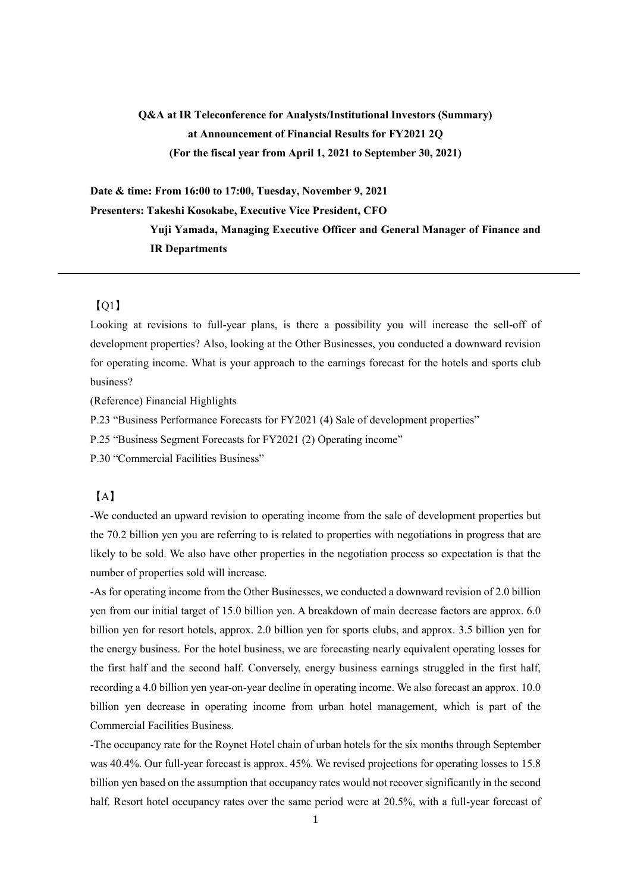# **Q&A at IR Teleconference for Analysts/Institutional Investors (Summary) at Announcement of Financial Results for FY2021 2Q (For the fiscal year from April 1, 2021 to September 30, 2021)**

**Date & time: From 16:00 to 17:00, Tuesday, November 9, 2021 Presenters: Takeshi Kosokabe, Executive Vice President, CFO Yuji Yamada, Managing Executive Officer and General Manager of Finance and** 

**IR Departments**

## 【Q1】

Looking at revisions to full-year plans, is there a possibility you will increase the sell-off of development properties? Also, looking at the Other Businesses, you conducted a downward revision for operating income. What is your approach to the earnings forecast for the hotels and sports club business?

(Reference) Financial Highlights

P.23 "Business Performance Forecasts for FY2021 (4) Sale of development properties"

P.25 "Business Segment Forecasts for FY2021 (2) Operating income"

P.30 "Commercial Facilities Business"

## 【A】

-We conducted an upward revision to operating income from the sale of development properties but the 70.2 billion yen you are referring to is related to properties with negotiations in progress that are likely to be sold. We also have other properties in the negotiation process so expectation is that the number of properties sold will increase.

-As for operating income from the Other Businesses, we conducted a downward revision of 2.0 billion yen from our initial target of 15.0 billion yen. A breakdown of main decrease factors are approx. 6.0 billion yen for resort hotels, approx. 2.0 billion yen for sports clubs, and approx. 3.5 billion yen for the energy business. For the hotel business, we are forecasting nearly equivalent operating losses for the first half and the second half. Conversely, energy business earnings struggled in the first half, recording a 4.0 billion yen year-on-year decline in operating income. We also forecast an approx. 10.0 billion yen decrease in operating income from urban hotel management, which is part of the Commercial Facilities Business.

-The occupancy rate for the Roynet Hotel chain of urban hotels for the six months through September was 40.4%. Our full-year forecast is approx. 45%. We revised projections for operating losses to 15.8 billion yen based on the assumption that occupancy rates would not recover significantly in the second half. Resort hotel occupancy rates over the same period were at 20.5%, with a full-year forecast of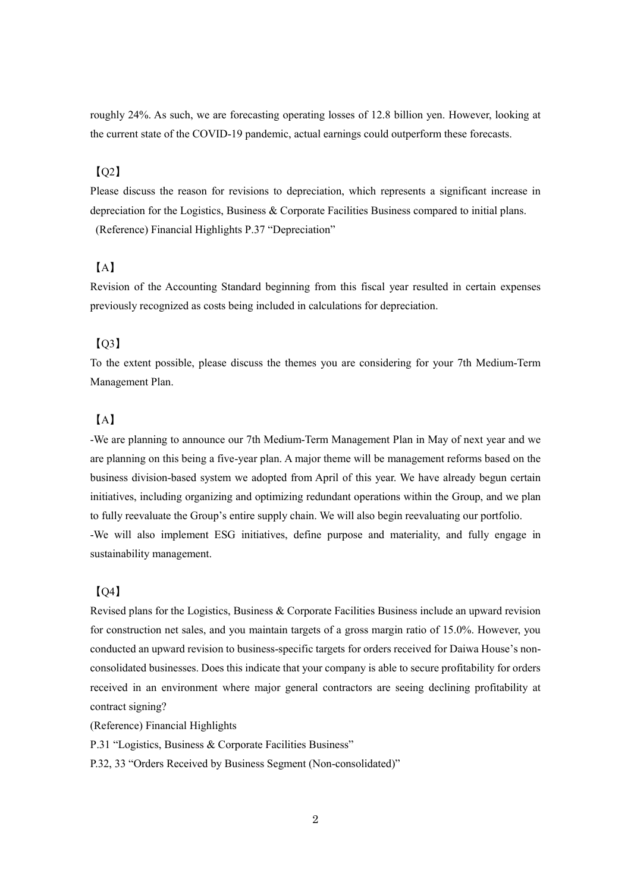roughly 24%. As such, we are forecasting operating losses of 12.8 billion yen. However, looking at the current state of the COVID-19 pandemic, actual earnings could outperform these forecasts.

## 【Q2】

Please discuss the reason for revisions to depreciation, which represents a significant increase in depreciation for the Logistics, Business & Corporate Facilities Business compared to initial plans. (Reference) Financial Highlights P.37 "Depreciation"

## 【A】

Revision of the Accounting Standard beginning from this fiscal year resulted in certain expenses previously recognized as costs being included in calculations for depreciation.

## 【Q3】

To the extent possible, please discuss the themes you are considering for your 7th Medium-Term Management Plan.

### 【A】

-We are planning to announce our 7th Medium-Term Management Plan in May of next year and we are planning on this being a five-year plan. A major theme will be management reforms based on the business division-based system we adopted from April of this year. We have already begun certain initiatives, including organizing and optimizing redundant operations within the Group, and we plan to fully reevaluate the Group's entire supply chain. We will also begin reevaluating our portfolio. -We will also implement ESG initiatives, define purpose and materiality, and fully engage in sustainability management.

#### 【Q4】

Revised plans for the Logistics, Business & Corporate Facilities Business include an upward revision for construction net sales, and you maintain targets of a gross margin ratio of 15.0%. However, you conducted an upward revision to business-specific targets for orders received for Daiwa House's nonconsolidated businesses. Does this indicate that your company is able to secure profitability for orders received in an environment where major general contractors are seeing declining profitability at contract signing?

(Reference) Financial Highlights

P.31 "Logistics, Business & Corporate Facilities Business"

P.32, 33 "Orders Received by Business Segment (Non-consolidated)"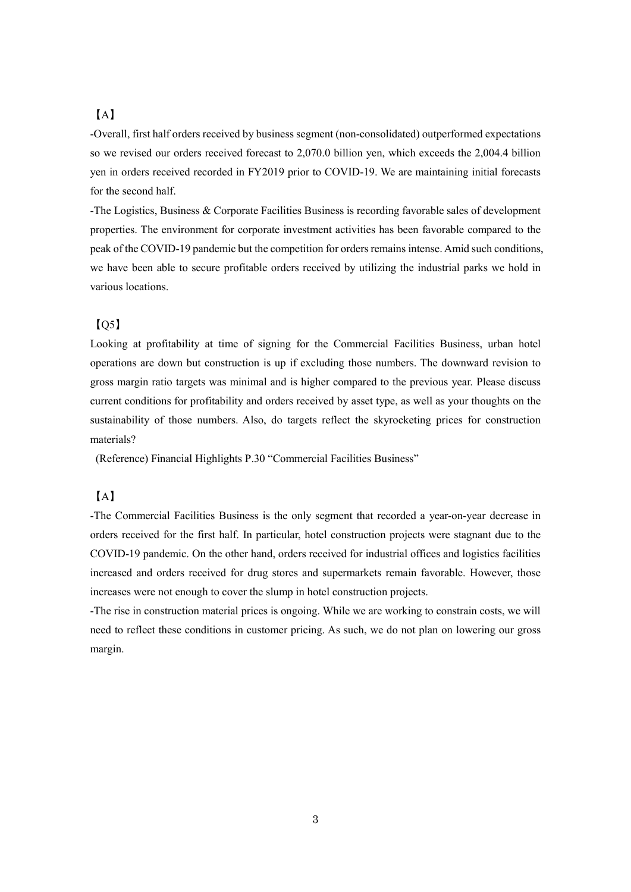## 【A】

-Overall, first half orders received by business segment (non-consolidated) outperformed expectations so we revised our orders received forecast to 2,070.0 billion yen, which exceeds the 2,004.4 billion yen in orders received recorded in FY2019 prior to COVID-19. We are maintaining initial forecasts for the second half.

-The Logistics, Business & Corporate Facilities Business is recording favorable sales of development properties. The environment for corporate investment activities has been favorable compared to the peak of the COVID-19 pandemic but the competition for orders remains intense. Amid such conditions, we have been able to secure profitable orders received by utilizing the industrial parks we hold in various locations.

## 【Q5】

Looking at profitability at time of signing for the Commercial Facilities Business, urban hotel operations are down but construction is up if excluding those numbers. The downward revision to gross margin ratio targets was minimal and is higher compared to the previous year. Please discuss current conditions for profitability and orders received by asset type, as well as your thoughts on the sustainability of those numbers. Also, do targets reflect the skyrocketing prices for construction materials?

(Reference) Financial Highlights P.30 "Commercial Facilities Business"

## 【A】

-The Commercial Facilities Business is the only segment that recorded a year-on-year decrease in orders received for the first half. In particular, hotel construction projects were stagnant due to the COVID-19 pandemic. On the other hand, orders received for industrial offices and logistics facilities increased and orders received for drug stores and supermarkets remain favorable. However, those increases were not enough to cover the slump in hotel construction projects.

-The rise in construction material prices is ongoing. While we are working to constrain costs, we will need to reflect these conditions in customer pricing. As such, we do not plan on lowering our gross margin.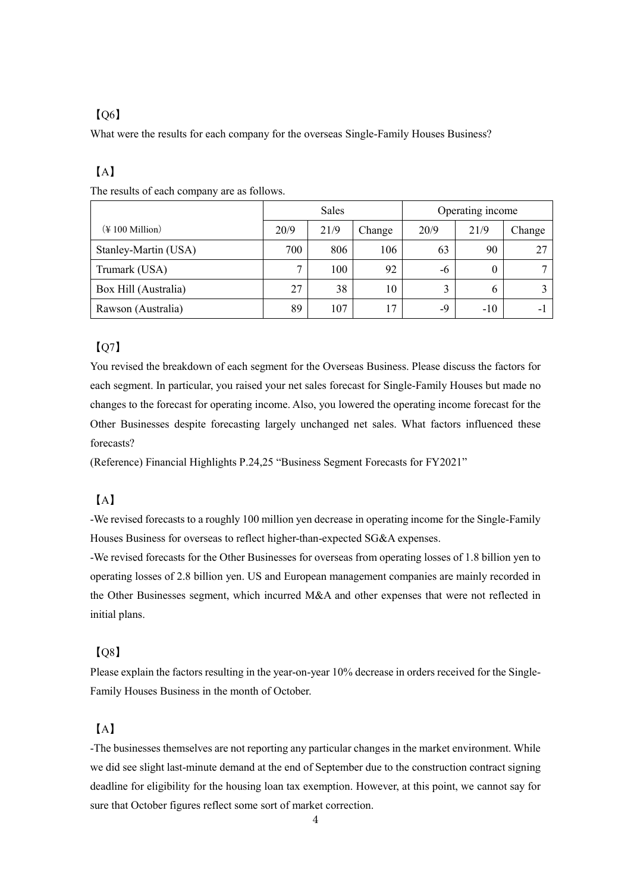## 【Q6】

What were the results for each company for the overseas Single-Family Houses Business?

## 【A】

|                                    | Sales        |      |        | Operating income |       |        |
|------------------------------------|--------------|------|--------|------------------|-------|--------|
| $(\text{\# } 100 \text{ million})$ | 20/9         | 21/9 | Change | 20/9             | 21/9  | Change |
| Stanley-Martin (USA)               | 700          | 806  | 106    | 63               | 90    | 27     |
| Trumark (USA)                      | $\mathbf{r}$ | 100  | 92     | -6               | 0     |        |
| Box Hill (Australia)               | 27           | 38   | 10     |                  | O     |        |
| Rawson (Australia)                 | 89           | 107  | 17     | -9               | $-10$ | ۰      |

The results of each company are as follows.

## $IO<sub>7</sub>$

You revised the breakdown of each segment for the Overseas Business. Please discuss the factors for each segment. In particular, you raised your net sales forecast for Single-Family Houses but made no changes to the forecast for operating income. Also, you lowered the operating income forecast for the Other Businesses despite forecasting largely unchanged net sales. What factors influenced these forecasts?

(Reference) Financial Highlights P.24,25 "Business Segment Forecasts for FY2021"

## 【A】

-We revised forecasts to a roughly 100 million yen decrease in operating income for the Single-Family Houses Business for overseas to reflect higher-than-expected SG&A expenses.

-We revised forecasts for the Other Businesses for overseas from operating losses of 1.8 billion yen to operating losses of 2.8 billion yen. US and European management companies are mainly recorded in the Other Businesses segment, which incurred M&A and other expenses that were not reflected in initial plans.

## 【Q8】

Please explain the factors resulting in the year-on-year 10% decrease in orders received for the Single-Family Houses Business in the month of October.

## 【A】

-The businesses themselves are not reporting any particular changes in the market environment. While we did see slight last-minute demand at the end of September due to the construction contract signing deadline for eligibility for the housing loan tax exemption. However, at this point, we cannot say for sure that October figures reflect some sort of market correction.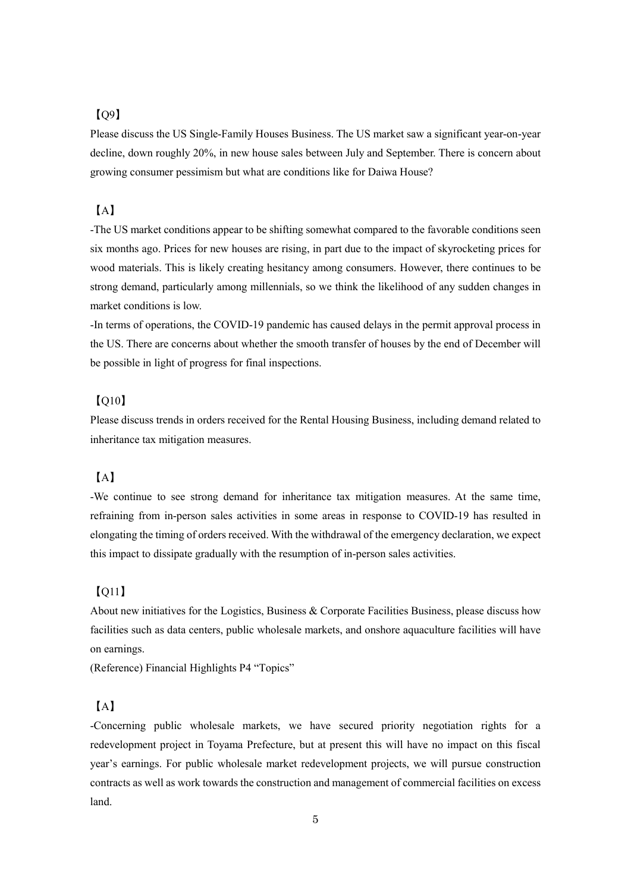## 【Q9】

Please discuss the US Single-Family Houses Business. The US market saw a significant year-on-year decline, down roughly 20%, in new house sales between July and September. There is concern about growing consumer pessimism but what are conditions like for Daiwa House?

## 【A】

-The US market conditions appear to be shifting somewhat compared to the favorable conditions seen six months ago. Prices for new houses are rising, in part due to the impact of skyrocketing prices for wood materials. This is likely creating hesitancy among consumers. However, there continues to be strong demand, particularly among millennials, so we think the likelihood of any sudden changes in market conditions is low.

-In terms of operations, the COVID-19 pandemic has caused delays in the permit approval process in the US. There are concerns about whether the smooth transfer of houses by the end of December will be possible in light of progress for final inspections.

## $[O10]$

Please discuss trends in orders received for the Rental Housing Business, including demand related to inheritance tax mitigation measures.

## 【A】

-We continue to see strong demand for inheritance tax mitigation measures. At the same time, refraining from in-person sales activities in some areas in response to COVID-19 has resulted in elongating the timing of orders received. With the withdrawal of the emergency declaration, we expect this impact to dissipate gradually with the resumption of in-person sales activities.

#### 【Q11】

About new initiatives for the Logistics, Business & Corporate Facilities Business, please discuss how facilities such as data centers, public wholesale markets, and onshore aquaculture facilities will have on earnings.

(Reference) Financial Highlights P4 "Topics"

## 【A】

-Concerning public wholesale markets, we have secured priority negotiation rights for a redevelopment project in Toyama Prefecture, but at present this will have no impact on this fiscal year's earnings. For public wholesale market redevelopment projects, we will pursue construction contracts as well as work towards the construction and management of commercial facilities on excess land.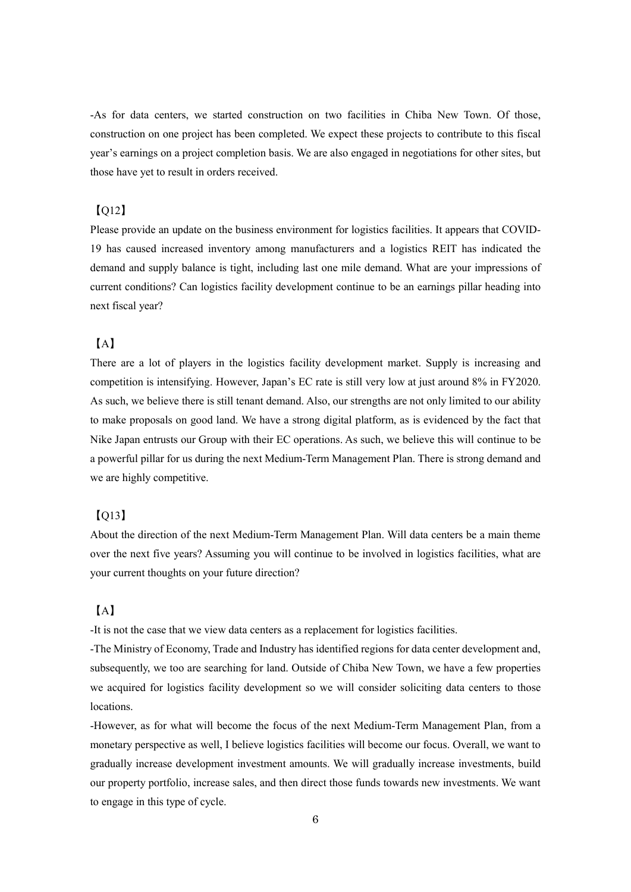-As for data centers, we started construction on two facilities in Chiba New Town. Of those, construction on one project has been completed. We expect these projects to contribute to this fiscal year's earnings on a project completion basis. We are also engaged in negotiations for other sites, but those have yet to result in orders received.

#### 【Q12】

Please provide an update on the business environment for logistics facilities. It appears that COVID-19 has caused increased inventory among manufacturers and a logistics REIT has indicated the demand and supply balance is tight, including last one mile demand. What are your impressions of current conditions? Can logistics facility development continue to be an earnings pillar heading into next fiscal year?

## 【A】

There are a lot of players in the logistics facility development market. Supply is increasing and competition is intensifying. However, Japan's EC rate is still very low at just around 8% in FY2020. As such, we believe there is still tenant demand. Also, our strengths are not only limited to our ability to make proposals on good land. We have a strong digital platform, as is evidenced by the fact that Nike Japan entrusts our Group with their EC operations. As such, we believe this will continue to be a powerful pillar for us during the next Medium-Term Management Plan. There is strong demand and we are highly competitive.

## 【Q13】

About the direction of the next Medium-Term Management Plan. Will data centers be a main theme over the next five years? Assuming you will continue to be involved in logistics facilities, what are your current thoughts on your future direction?

## 【A】

-It is not the case that we view data centers as a replacement for logistics facilities.

-The Ministry of Economy, Trade and Industry has identified regions for data center development and, subsequently, we too are searching for land. Outside of Chiba New Town, we have a few properties we acquired for logistics facility development so we will consider soliciting data centers to those locations.

-However, as for what will become the focus of the next Medium-Term Management Plan, from a monetary perspective as well, I believe logistics facilities will become our focus. Overall, we want to gradually increase development investment amounts. We will gradually increase investments, build our property portfolio, increase sales, and then direct those funds towards new investments. We want to engage in this type of cycle.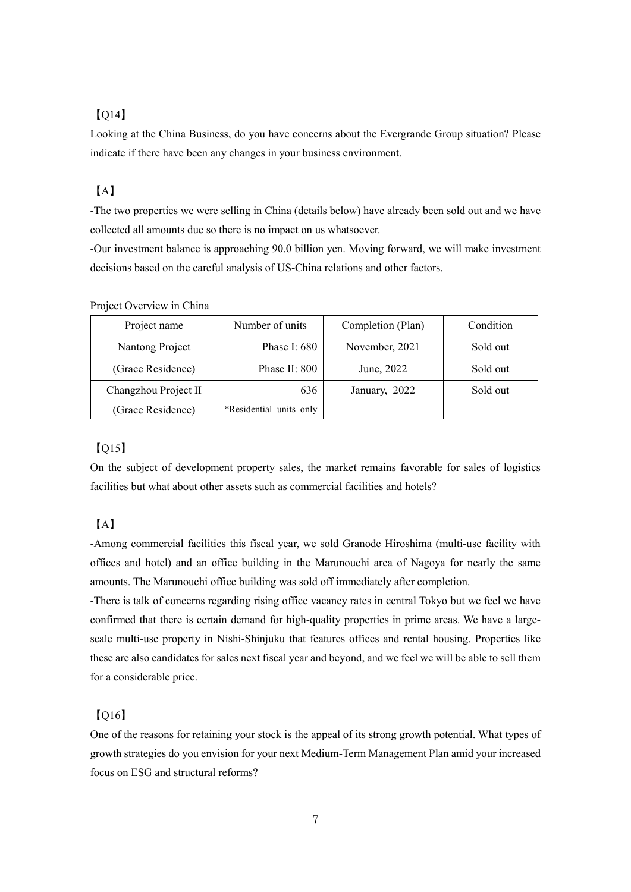## 【Q14】

Looking at the China Business, do you have concerns about the Evergrande Group situation? Please indicate if there have been any changes in your business environment.

## 【A】

-The two properties we were selling in China (details below) have already been sold out and we have collected all amounts due so there is no impact on us whatsoever.

-Our investment balance is approaching 90.0 billion yen. Moving forward, we will make investment decisions based on the careful analysis of US-China relations and other factors.

| Project name         | Number of units         | Completion (Plan) | Condition |  |
|----------------------|-------------------------|-------------------|-----------|--|
| Nantong Project      | Phase I: 680            | November, 2021    | Sold out  |  |
| (Grace Residence)    | Phase II: 800           | June, 2022        | Sold out  |  |
| Changzhou Project II | 636                     | January, 2022     | Sold out  |  |
| (Grace Residence)    | *Residential units only |                   |           |  |

Project Overview in China

## 【Q15】

On the subject of development property sales, the market remains favorable for sales of logistics facilities but what about other assets such as commercial facilities and hotels?

## 【A】

-Among commercial facilities this fiscal year, we sold Granode Hiroshima (multi-use facility with offices and hotel) and an office building in the Marunouchi area of Nagoya for nearly the same amounts. The Marunouchi office building was sold off immediately after completion.

-There is talk of concerns regarding rising office vacancy rates in central Tokyo but we feel we have confirmed that there is certain demand for high-quality properties in prime areas. We have a largescale multi-use property in Nishi-Shinjuku that features offices and rental housing. Properties like these are also candidates for sales next fiscal year and beyond, and we feel we will be able to sell them for a considerable price.

## 【Q16】

One of the reasons for retaining your stock is the appeal of its strong growth potential. What types of growth strategies do you envision for your next Medium-Term Management Plan amid your increased focus on ESG and structural reforms?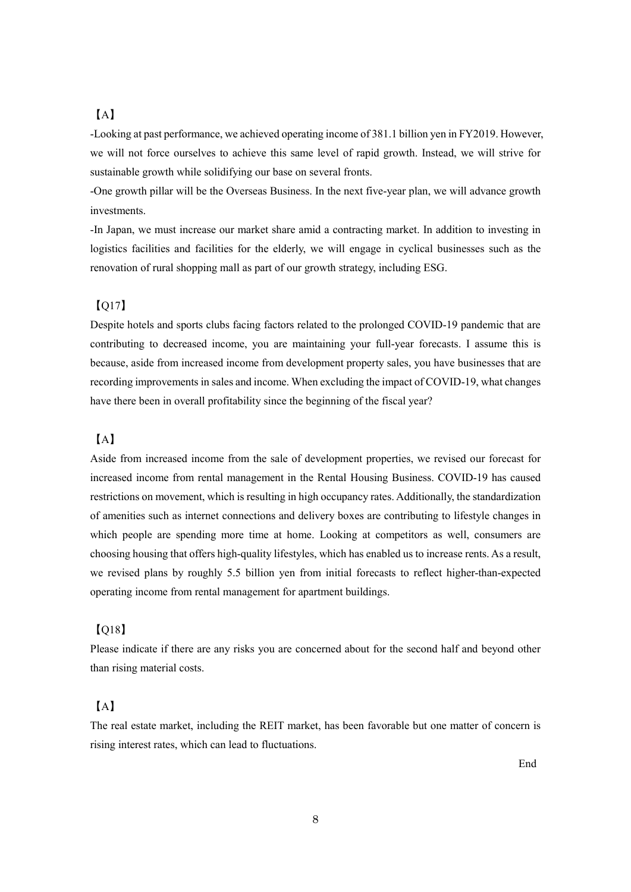## 【A】

-Looking at past performance, we achieved operating income of 381.1 billion yen in FY2019. However, we will not force ourselves to achieve this same level of rapid growth. Instead, we will strive for sustainable growth while solidifying our base on several fronts.

-One growth pillar will be the Overseas Business. In the next five-year plan, we will advance growth investments.

-In Japan, we must increase our market share amid a contracting market. In addition to investing in logistics facilities and facilities for the elderly, we will engage in cyclical businesses such as the renovation of rural shopping mall as part of our growth strategy, including ESG.

#### 【Q17】

Despite hotels and sports clubs facing factors related to the prolonged COVID-19 pandemic that are contributing to decreased income, you are maintaining your full-year forecasts. I assume this is because, aside from increased income from development property sales, you have businesses that are recording improvements in sales and income. When excluding the impact of COVID-19, what changes have there been in overall profitability since the beginning of the fiscal year?

## 【A】

Aside from increased income from the sale of development properties, we revised our forecast for increased income from rental management in the Rental Housing Business. COVID-19 has caused restrictions on movement, which is resulting in high occupancy rates. Additionally, the standardization of amenities such as internet connections and delivery boxes are contributing to lifestyle changes in which people are spending more time at home. Looking at competitors as well, consumers are choosing housing that offers high-quality lifestyles, which has enabled us to increase rents. As a result, we revised plans by roughly 5.5 billion yen from initial forecasts to reflect higher-than-expected operating income from rental management for apartment buildings.

#### 【Q18】

Please indicate if there are any risks you are concerned about for the second half and beyond other than rising material costs.

## 【A】

The real estate market, including the REIT market, has been favorable but one matter of concern is rising interest rates, which can lead to fluctuations.

End